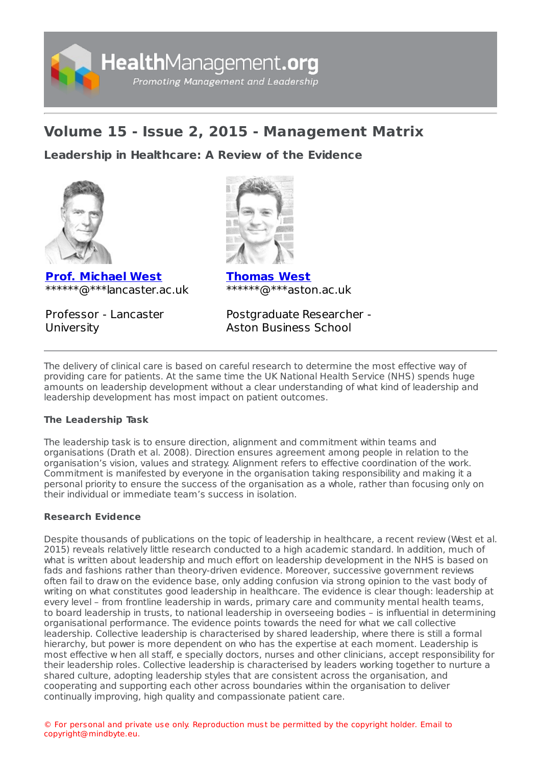

# **Volume 15 - Issue 2, 2015 - Management Matrix**

**Leadership in [Healthcare:](https://healthmanagement.org/s/leadership-in-healthcare-a-review-of-the-evidence) A Review of the Evidence**



**Prof. [Michael](https://healthmanagement.org/viewProfile/74000/Michael_West) West** \*\*\*\*\*\*@\*\*\*lancaster.ac.uk

Professor - Lancaster **University** 



**[Thomas](https://healthmanagement.org/viewProfile/74027/Thomas_West) West** \*\*\*\*\*\*@\*\*\*aston.ac.uk

Postgraduate Researcher - Aston Business School

The delivery of clinical care is based on careful research to determine the most effective way of providing care for patients. At the same time the UK National Health Service (NHS) spends huge amounts on leadership development without a clear understanding of what kind of leadership and leadership development has most impact on patient outcomes.

## **The Leadership Task**

The leadership task is to ensure direction, alignment and commitment within teams and organisations (Drath et al. 2008). Direction ensures agreement among people in relation to the organisation's vision, values and strategy. Alignment refers to effective coordination of the work. Commitment is manifested by everyone in the organisation taking responsibility and making it a personal priority to ensure the success of the organisation as a whole, rather than focusing only on their individual or immediate team's success in isolation.

## **Research Evidence**

Despite thousands of publications on the topic of leadership in healthcare, a recent review (West et al. 2015) reveals relatively little research conducted to a high academic standard. In addition, much of what is written about leadership and much effort on leadership development in the NHS is based on fads and fashions rather than theory-driven evidence. Moreover, successive government reviews often fail to draw on the evidence base, only adding confusion via strong opinion to the vast body of writing on what constitutes good leadership in healthcare. The evidence is clear though: leadership at every level – from frontline leadership in wards, primary care and community mental health teams, to board leadership in trusts, to national leadership in overseeing bodies – is influential in determining organisational performance. The evidence points towards the need for what we call collective leadership. Collective leadership is characterised by shared leadership, where there is still a formal hierarchy, but power is more dependent on who has the expertise at each moment. Leadership is most effective w hen all staff, e specially doctors, nurses and other clinicians, accept responsibility for their leadership roles. Collective leadership is characterised by leaders working together to nurture a shared culture, adopting leadership styles that are consistent across the organisation, and cooperating and supporting each other across boundaries within the organisation to deliver continually improving, high quality and compassionate patient care.

© For personal and private use only. Reproduction must be permitted by the copyright holder. Email to copyright@mindbyte.eu.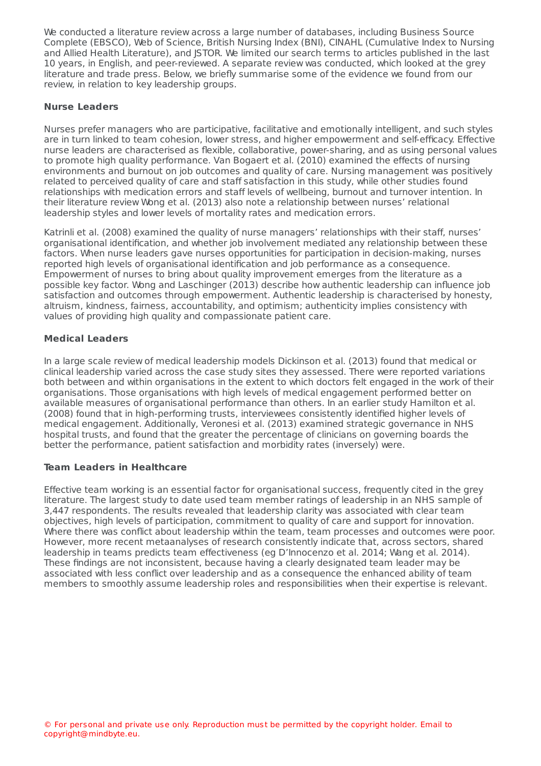We conducted a literature review across a large number of databases, including Business Source Complete (EBSCO), Web of Science, British Nursing Index (BNI), CINAHL (Cumulative Index to Nursing and Allied Health Literature), and JSTOR. We limited our search terms to articles published in the last 10 years, in English, and peer-reviewed. A separate review was conducted, which looked at the grey literature and trade press. Below, we briefly summarise some of the evidence we found from our review, in relation to key leadership groups.

### **Nurse Leaders**

Nurses prefer managers who are participative, facilitative and emotionally intelligent, and such styles are in turn linked to team cohesion, lower stress, and higher empowerment and self-efficacy. Effective nurse leaders are characterised as flexible, collaborative, power-sharing, and as using personal values to promote high quality performance. Van Bogaert et al. (2010) examined the effects of nursing environments and burnout on job outcomes and quality of care. Nursing management was positively related to perceived quality of care and staff satisfaction in this study, while other studies found relationships with medication errors and staff levels of wellbeing, burnout and turnover intention. In their literature review Wong et al. (2013) also note a relationship between nurses' relational leadership styles and lower levels of mortality rates and medication errors.

Katrinli et al. (2008) examined the quality of nurse managers' relationships with their staff, nurses' organisational identification, and whether job involvement mediated any relationship between these factors. When nurse leaders gave nurses opportunities for participation in decision-making, nurses reported high levels of organisational identification and job performance as a consequence. Empowerment of nurses to bring about quality improvement emerges from the literature as a possible key factor. Wong and Laschinger (2013) describe how authentic leadership can influence job satisfaction and outcomes through empowerment. Authentic leadership is characterised by honesty, altruism, kindness, fairness, accountability, and optimism; authenticity implies consistency with values of providing high quality and compassionate patient care.

## **Medical Leaders**

In a large scale review of medical leadership models Dickinson et al. (2013) found that medical or clinical leadership varied across the case study sites they assessed. There were reported variations both between and within organisations in the extent to which doctors felt engaged in the work of their organisations. Those organisations with high levels of medical engagement performed better on available measures of organisational performance than others. In an earlier study Hamilton et al. (2008) found that in high-performing trusts, interviewees consistently identified higher levels of medical engagement. Additionally, Veronesi et al. (2013) examined strategic governance in NHS hospital trusts, and found that the greater the percentage of clinicians on governing boards the better the performance, patient satisfaction and morbidity rates (inversely) were.

## **Team Leaders in Healthcare**

Effective team working is an essential factor for organisational success, frequently cited in the grey literature. The largest study to date used team member ratings of leadership in an NHS sample of 3,447 respondents. The results revealed that leadership clarity was associated with clear team objectives, high levels of participation, commitment to quality of care and support for innovation. Where there was conflict about leadership within the team, team processes and outcomes were poor. However, more recent metaanalyses of research consistently indicate that, across sectors, shared leadership in teams predicts team effectiveness (eg D'Innocenzo et al. 2014; Wang et al. 2014). These findings are not inconsistent, because having a clearly designated team leader may be associated with less conflict over leadership and as a consequence the enhanced ability of team members to smoothly assume leadership roles and responsibilities when their expertise is relevant.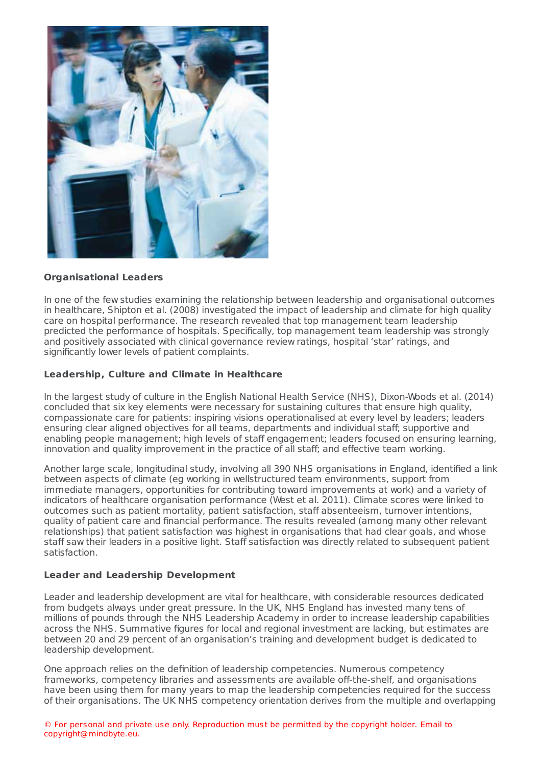

#### **Organisational Leaders**

In one of the few studies examining the relationship between leadership and organisational outcomes in healthcare, Shipton et al. (2008) investigated the impact of leadership and climate for high quality care on hospital performance. The research revealed that top management team leadership predicted the performance of hospitals. Specifically, top management team leadership was strongly and positively associated with clinical governance review ratings, hospital 'star' ratings, and significantly lower levels of patient complaints.

#### **Leadership, Culture and Climate in Healthcare**

In the largest study of culture in the English National Health Service (NHS), Dixon-Woods et al. (2014) concluded that six key elements were necessary for sustaining cultures that ensure high quality, compassionate care for patients: inspiring visions operationalised at every level by leaders; leaders ensuring clear aligned objectives for all teams, departments and individual staff; supportive and enabling people management; high levels of staff engagement; leaders focused on ensuring learning, innovation and quality improvement in the practice of all staff; and effective team working.

Another large scale, longitudinal study, involving all 390 NHS organisations in England, identified a link between aspects of climate (eg working in wellstructured team environments, support from immediate managers, opportunities for contributing toward improvements at work) and a variety of indicators of healthcare organisation performance (West et al. 2011). Climate scores were linked to outcomes such as patient mortality, patient satisfaction, staff absenteeism, turnover intentions, quality of patient care and financial performance. The results revealed (among many other relevant relationships) that patient satisfaction was highest in organisations that had clear goals, and whose staff saw their leaders in a positive light. Staff satisfaction was directly related to subsequent patient satisfaction.

#### **Leader and Leadership Development**

Leader and leadership development are vital for healthcare, with considerable resources dedicated from budgets always under great pressure. In the UK, NHS England has invested many tens of millions of pounds through the NHS Leadership Academy in order to increase leadership capabilities across the NHS. Summative figures for local and regional investment are lacking, but estimates are between 20 and 29 percent of an organisation's training and development budget is dedicated to leadership development.

One approach relies on the definition of leadership competencies. Numerous competency frameworks, competency libraries and assessments are available off-the-shelf, and organisations have been using them for many years to map the leadership competencies required for the success of their organisations. The UK NHS competency orientation derives from the multiple and overlapping

© For personal and private use only. Reproduction must be permitted by the copyright holder. Email to copyright@mindbyte.eu.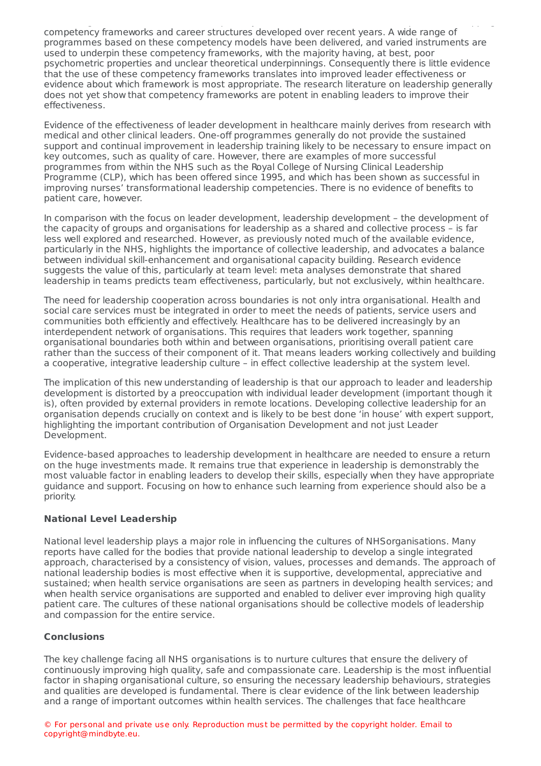of their organisations. The UK NHS competency orientation derives from the multiple and overlapping competency frameworks and career structures developed over recent years. A wide range of programmes based on these competency models have been delivered, and varied instruments are used to underpin these competency frameworks, with the majority having, at best, poor psychometric properties and unclear theoretical underpinnings. Consequently there is little evidence that the use of these competency frameworks translates into improved leader effectiveness or evidence about which framework is most appropriate. The research literature on leadership generally does not yet show that competency frameworks are potent in enabling leaders to improve their effectiveness.

Evidence of the effectiveness of leader development in healthcare mainly derives from research with medical and other clinical leaders. One-off programmes generally do not provide the sustained support and continual improvement in leadership training likely to be necessary to ensure impact on key outcomes, such as quality of care. However, there are examples of more successful programmes from within the NHS such as the Royal College of Nursing Clinical Leadership Programme (CLP), which has been offered since 1995, and which has been shown as successful in improving nurses' transformational leadership competencies. There is no evidence of benefits to patient care, however.

In comparison with the focus on leader development, leadership development – the development of the capacity of groups and organisations for leadership as a shared and collective process – is far less well explored and researched. However, as previously noted much of the available evidence, particularly in the NHS, highlights the importance of collective leadership, and advocates a balance between individual skill-enhancement and organisational capacity building. Research evidence suggests the value of this, particularly at team level: meta analyses demonstrate that shared leadership in teams predicts team effectiveness, particularly, but not exclusively, within healthcare.

The need for leadership cooperation across boundaries is not only intra organisational. Health and social care services must be integrated in order to meet the needs of patients, service users and communities both efficiently and effectively. Healthcare has to be delivered increasingly by an interdependent network of organisations. This requires that leaders work together, spanning organisational boundaries both within and between organisations, prioritising overall patient care rather than the success of their component of it. That means leaders working collectively and building a cooperative, integrative leadership culture – in effect collective leadership at the system level.

The implication of this new understanding of leadership is that our approach to leader and leadership development is distorted by a preoccupation with individual leader development (important though it is), often provided by external providers in remote locations. Developing collective leadership for an organisation depends crucially on context and is likely to be best done 'in house' with expert support, highlighting the important contribution of Organisation Development and not just Leader Development.

Evidence-based approaches to leadership development in healthcare are needed to ensure a return on the huge investments made. It remains true that experience in leadership is demonstrably the most valuable factor in enabling leaders to develop their skills, especially when they have appropriate guidance and support. Focusing on how to enhance such learning from experience should also be a priority.

#### **National Level Leadership**

National level leadership plays a major role in influencing the cultures of NHSorganisations. Many reports have called for the bodies that provide national leadership to develop a single integrated approach, characterised by a consistency of vision, values, processes and demands. The approach of national leadership bodies is most effective when it is supportive, developmental, appreciative and sustained; when health service organisations are seen as partners in developing health services; and when health service organisations are supported and enabled to deliver ever improving high quality patient care. The cultures of these national organisations should be collective models of leadership and compassion for the entire service.

#### **Conclusions**

The key challenge facing all NHS organisations is to nurture cultures that ensure the delivery of continuously improving high quality, safe and compassionate care. Leadership is the most influential factor in shaping organisational culture, so ensuring the necessary leadership behaviours, strategies and qualities are developed is fundamental. There is clear evidence of the link between leadership and a range of important outcomes within health services. The challenges that face healthcare

© For personal and private use only. Reproduction must be permitted by the copyright holder. Email to copyright@mindbyte.eu.